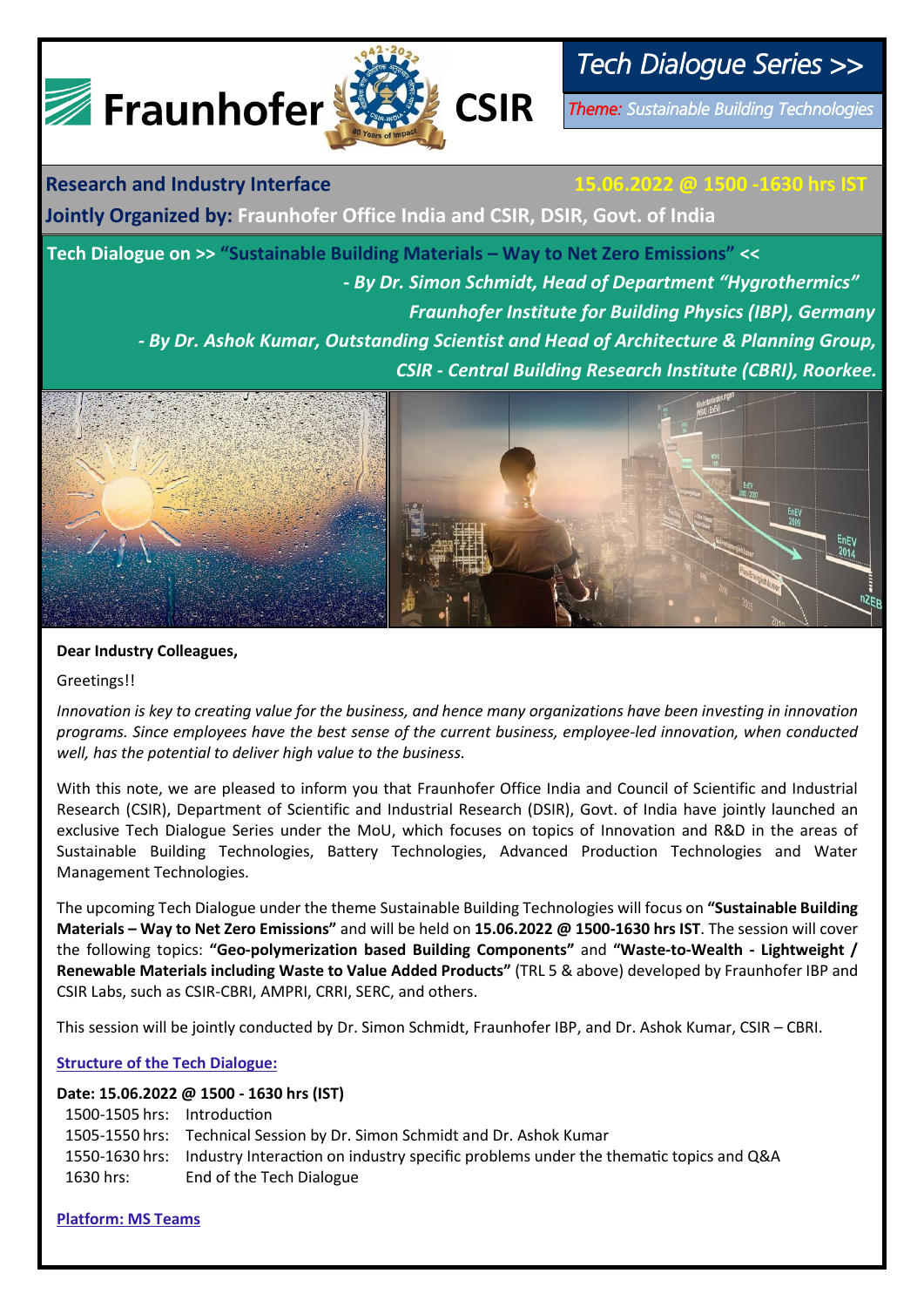

# *Tech Dialogue Series >>*

*Theme: Sustainable Building Technologies* 

**Research and Industry Interface 15.06.2022 @ 1500 -1630 hrs IST**

**Jointly Organized by: Fraunhofer Office India and CSIR, DSIR, Govt. of India** 

**Tech Dialogue on >> "Sustainable Building Materials – Way to Net Zero Emissions" << -** *By Dr. Simon Schmidt, Head of Department "Hygrothermics" Fraunhofer Institute for Building Physics (IBP), Germany - By Dr. Ashok Kumar, Outstanding Scientist and Head of Architecture & Planning Group, CSIR - Central Building Research Institute (CBRI), Roorkee.* 



## **Dear Industry Colleagues,**

Greetings!!

*Innovation is key to creating value for the business, and hence many organizations have been investing in innovation programs. Since employees have the best sense of the current business, employee-led innovation, when conducted well, has the potential to deliver high value to the business.*

With this note, we are pleased to inform you that Fraunhofer Office India and Council of Scientific and Industrial Research (CSIR), Department of Scientific and Industrial Research (DSIR), Govt. of India have jointly launched an exclusive Tech Dialogue Series under the MoU, which focuses on topics of Innovation and R&D in the areas of Sustainable Building Technologies, Battery Technologies, Advanced Production Technologies and Water Management Technologies.

The upcoming Tech Dialogue under the theme Sustainable Building Technologies will focus on **"Sustainable Building Materials – Way to Net Zero Emissions"** and will be held on **15.06.2022 @ 1500-1630 hrs IST**. The session will cover the following topics: **"Geo-polymerization based Building Components"** and **"Waste-to-Wealth - Lightweight / Renewable Materials including Waste to Value Added Products"** (TRL 5 & above) developed by Fraunhofer IBP and CSIR Labs, such as CSIR-CBRI, AMPRI, CRRI, SERC, and others.

This session will be jointly conducted by Dr. Simon Schmidt, Fraunhofer IBP, and Dr. Ashok Kumar, CSIR – CBRI.

### **Structure of the Tech Dialogue:**

### **Date: 15.06.2022 @ 1500 - 1630 hrs (IST)**

| 1500-1505 hrs: Introduction |                                                                                                     |
|-----------------------------|-----------------------------------------------------------------------------------------------------|
|                             | 1505-1550 hrs: Technical Session by Dr. Simon Schmidt and Dr. Ashok Kumar                           |
|                             | 1550-1630 hrs: Industry Interaction on industry specific problems under the thematic topics and Q&A |
| 1630 hrs:                   | End of the Tech Dialogue                                                                            |

**Platform: MS Teams**